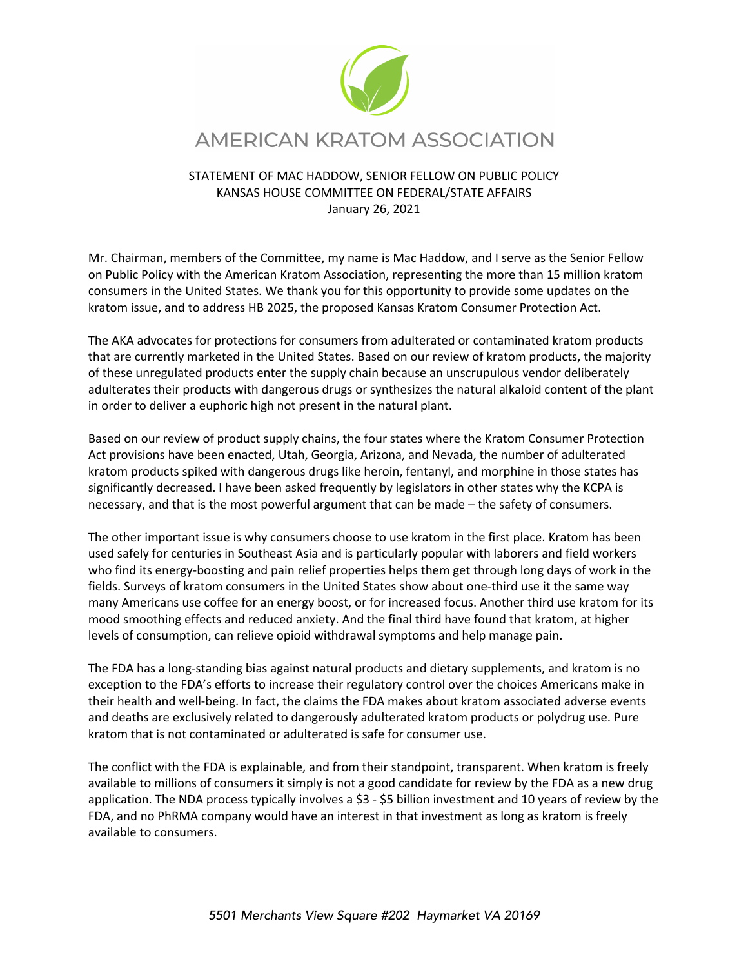

## STATEMENT OF MAC HADDOW, SENIOR FELLOW ON PUBLIC POLICY KANSAS HOUSE COMMITTEE ON FEDERAL/STATE AFFAIRS January 26, 2021

Mr. Chairman, members of the Committee, my name is Mac Haddow, and I serve as the Senior Fellow on Public Policy with the American Kratom Association, representing the more than 15 million kratom consumers in the United States. We thank you for this opportunity to provide some updates on the kratom issue, and to address HB 2025, the proposed Kansas Kratom Consumer Protection Act.

The AKA advocates for protections for consumers from adulterated or contaminated kratom products that are currently marketed in the United States. Based on our review of kratom products, the majority of these unregulated products enter the supply chain because an unscrupulous vendor deliberately adulterates their products with dangerous drugs or synthesizes the natural alkaloid content of the plant in order to deliver a euphoric high not present in the natural plant.

Based on our review of product supply chains, the four states where the Kratom Consumer Protection Act provisions have been enacted, Utah, Georgia, Arizona, and Nevada, the number of adulterated kratom products spiked with dangerous drugs like heroin, fentanyl, and morphine in those states has significantly decreased. I have been asked frequently by legislators in other states why the KCPA is necessary, and that is the most powerful argument that can be made – the safety of consumers.

The other important issue is why consumers choose to use kratom in the first place. Kratom has been used safely for centuries in Southeast Asia and is particularly popular with laborers and field workers who find its energy-boosting and pain relief properties helps them get through long days of work in the fields. Surveys of kratom consumers in the United States show about one-third use it the same way many Americans use coffee for an energy boost, or for increased focus. Another third use kratom for its mood smoothing effects and reduced anxiety. And the final third have found that kratom, at higher levels of consumption, can relieve opioid withdrawal symptoms and help manage pain.

The FDA has a long-standing bias against natural products and dietary supplements, and kratom is no exception to the FDA's efforts to increase their regulatory control over the choices Americans make in their health and well-being. In fact, the claims the FDA makes about kratom associated adverse events and deaths are exclusively related to dangerously adulterated kratom products or polydrug use. Pure kratom that is not contaminated or adulterated is safe for consumer use.

The conflict with the FDA is explainable, and from their standpoint, transparent. When kratom is freely available to millions of consumers it simply is not a good candidate for review by the FDA as a new drug application. The NDA process typically involves a \$3 - \$5 billion investment and 10 years of review by the FDA, and no PhRMA company would have an interest in that investment as long as kratom is freely available to consumers.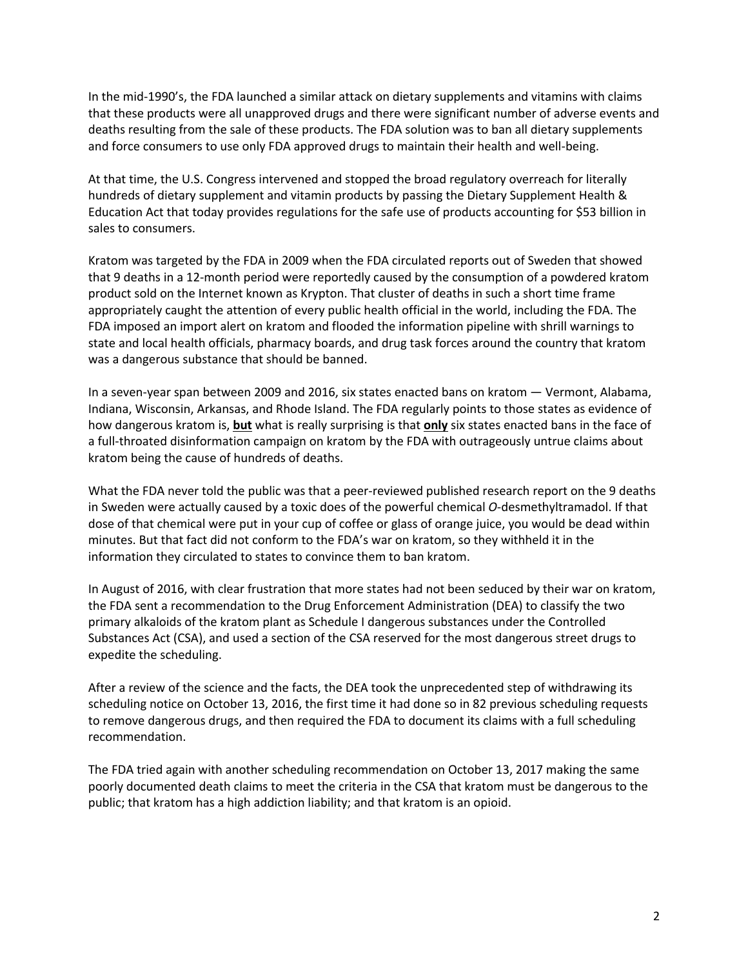In the mid-1990's, the FDA launched a similar attack on dietary supplements and vitamins with claims that these products were all unapproved drugs and there were significant number of adverse events and deaths resulting from the sale of these products. The FDA solution was to ban all dietary supplements and force consumers to use only FDA approved drugs to maintain their health and well-being.

At that time, the U.S. Congress intervened and stopped the broad regulatory overreach for literally hundreds of dietary supplement and vitamin products by passing the Dietary Supplement Health & Education Act that today provides regulations for the safe use of products accounting for \$53 billion in sales to consumers.

Kratom was targeted by the FDA in 2009 when the FDA circulated reports out of Sweden that showed that 9 deaths in a 12-month period were reportedly caused by the consumption of a powdered kratom product sold on the Internet known as Krypton. That cluster of deaths in such a short time frame appropriately caught the attention of every public health official in the world, including the FDA. The FDA imposed an import alert on kratom and flooded the information pipeline with shrill warnings to state and local health officials, pharmacy boards, and drug task forces around the country that kratom was a dangerous substance that should be banned.

In a seven-year span between 2009 and 2016, six states enacted bans on kratom — Vermont, Alabama, Indiana, Wisconsin, Arkansas, and Rhode Island. The FDA regularly points to those states as evidence of how dangerous kratom is, **but** what is really surprising is that **only** six states enacted bans in the face of a full-throated disinformation campaign on kratom by the FDA with outrageously untrue claims about kratom being the cause of hundreds of deaths.

What the FDA never told the public was that a peer-reviewed published research report on the 9 deaths in Sweden were actually caused by a toxic does of the powerful chemical *O*-desmethyltramadol. If that dose of that chemical were put in your cup of coffee or glass of orange juice, you would be dead within minutes. But that fact did not conform to the FDA's war on kratom, so they withheld it in the information they circulated to states to convince them to ban kratom.

In August of 2016, with clear frustration that more states had not been seduced by their war on kratom, the FDA sent a recommendation to the Drug Enforcement Administration (DEA) to classify the two primary alkaloids of the kratom plant as Schedule I dangerous substances under the Controlled Substances Act (CSA), and used a section of the CSA reserved for the most dangerous street drugs to expedite the scheduling.

After a review of the science and the facts, the DEA took the unprecedented step of withdrawing its scheduling notice on October 13, 2016, the first time it had done so in 82 previous scheduling requests to remove dangerous drugs, and then required the FDA to document its claims with a full scheduling recommendation.

The FDA tried again with another scheduling recommendation on October 13, 2017 making the same poorly documented death claims to meet the criteria in the CSA that kratom must be dangerous to the public; that kratom has a high addiction liability; and that kratom is an opioid.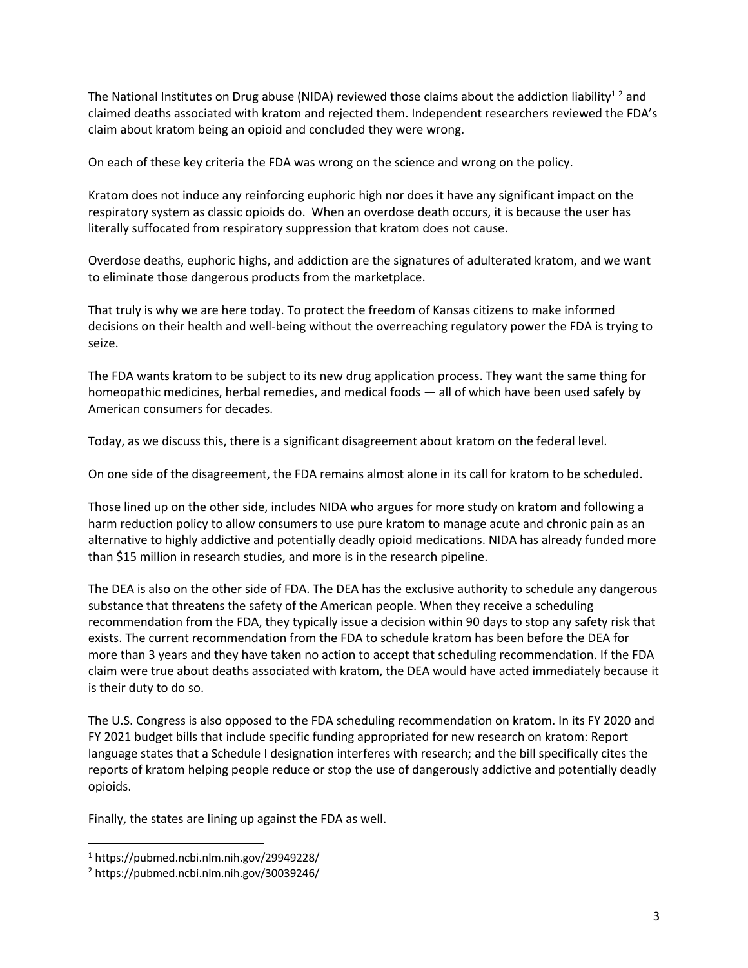The National Institutes on Drug abuse (NIDA) reviewed those claims about the addiction liability<sup>12</sup> and claimed deaths associated with kratom and rejected them. Independent researchers reviewed the FDA's claim about kratom being an opioid and concluded they were wrong.

On each of these key criteria the FDA was wrong on the science and wrong on the policy.

Kratom does not induce any reinforcing euphoric high nor does it have any significant impact on the respiratory system as classic opioids do. When an overdose death occurs, it is because the user has literally suffocated from respiratory suppression that kratom does not cause.

Overdose deaths, euphoric highs, and addiction are the signatures of adulterated kratom, and we want to eliminate those dangerous products from the marketplace.

That truly is why we are here today. To protect the freedom of Kansas citizens to make informed decisions on their health and well-being without the overreaching regulatory power the FDA is trying to seize.

The FDA wants kratom to be subject to its new drug application process. They want the same thing for homeopathic medicines, herbal remedies, and medical foods — all of which have been used safely by American consumers for decades.

Today, as we discuss this, there is a significant disagreement about kratom on the federal level.

On one side of the disagreement, the FDA remains almost alone in its call for kratom to be scheduled.

Those lined up on the other side, includes NIDA who argues for more study on kratom and following a harm reduction policy to allow consumers to use pure kratom to manage acute and chronic pain as an alternative to highly addictive and potentially deadly opioid medications. NIDA has already funded more than \$15 million in research studies, and more is in the research pipeline.

The DEA is also on the other side of FDA. The DEA has the exclusive authority to schedule any dangerous substance that threatens the safety of the American people. When they receive a scheduling recommendation from the FDA, they typically issue a decision within 90 days to stop any safety risk that exists. The current recommendation from the FDA to schedule kratom has been before the DEA for more than 3 years and they have taken no action to accept that scheduling recommendation. If the FDA claim were true about deaths associated with kratom, the DEA would have acted immediately because it is their duty to do so.

The U.S. Congress is also opposed to the FDA scheduling recommendation on kratom. In its FY 2020 and FY 2021 budget bills that include specific funding appropriated for new research on kratom: Report language states that a Schedule I designation interferes with research; and the bill specifically cites the reports of kratom helping people reduce or stop the use of dangerously addictive and potentially deadly opioids.

Finally, the states are lining up against the FDA as well.

<sup>1</sup> https://pubmed.ncbi.nlm.nih.gov/29949228/

<sup>2</sup> https://pubmed.ncbi.nlm.nih.gov/30039246/